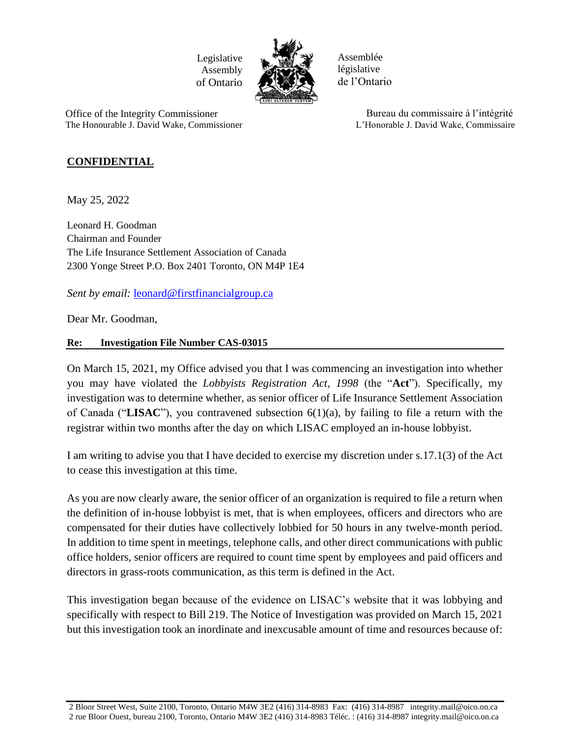Legislative Assembly of Ontario



Assemblée législative de l'Ontario

 Office of the Integrity Commissioner The Honourable J. David Wake, Commissioner

 Bureau du commissaire à l'intégrité L'Honorable J. David Wake, Commissaire

## **CONFIDENTIAL**

May 25, 2022

Leonard H. Goodman Chairman and Founder The Life Insurance Settlement Association of Canada 2300 Yonge Street P.O. Box 2401 Toronto, ON M4P 1E4

*Sent by email:* [leonard@firstfinancialgroup.ca](mailto:leonard@firstfinancialgroup.ca)

Dear Mr. Goodman,

## **Re: Investigation File Number CAS-03015**

On March 15, 2021, my Office advised you that I was commencing an investigation into whether you may have violated the *Lobbyists Registration Act, 1998* (the "**Act**"). Specifically, my investigation was to determine whether, as senior officer of Life Insurance Settlement Association of Canada ("**LISAC**"), you contravened subsection 6(1)(a), by failing to file a return with the registrar within two months after the day on which LISAC employed an in-house lobbyist.

I am writing to advise you that I have decided to exercise my discretion under s.17.1(3) of the Act to cease this investigation at this time.

As you are now clearly aware, the senior officer of an organization is required to file a return when the definition of in-house lobbyist is met, that is when employees, officers and directors who are compensated for their duties have collectively lobbied for 50 hours in any twelve-month period. In addition to time spent in meetings, telephone calls, and other direct communications with public office holders, senior officers are required to count time spent by employees and paid officers and directors in grass-roots communication, as this term is defined in the Act.

This investigation began because of the evidence on LISAC's website that it was lobbying and specifically with respect to Bill 219. The Notice of Investigation was provided on March 15, 2021 but this investigation took an inordinate and inexcusable amount of time and resources because of:

<sup>2</sup> Bloor Street West, Suite 2100, Toronto, Ontario M4W 3E2 (416) 314-8983 Fax: (416) 314-8987 integrity.mail@oico.on.ca 2 rue Bloor Ouest, bureau 2100, Toronto, Ontario M4W 3E2 (416) 314-8983 Téléc. : (416) 314-8987 integrity.mail@oico.on.ca